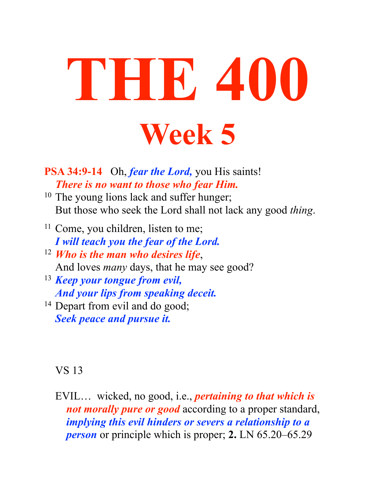# **THE 400 Week 5**

**PSA 34:9-14** Oh, *fear the Lord,* you His saints! *There is no want to those who fear Him.* 

- <sup>10</sup> The young lions lack and suffer hunger; But those who seek the Lord shall not lack any good *thing*.
- <sup>11</sup> Come, you children, listen to me; *I will teach you the fear of the Lord.*
- <sup>12</sup> *Who is the man who desires life*, And loves *many* days, that he may see good?
- <sup>13</sup> *Keep your tongue from evil, And your lips from speaking deceit.*
- <sup>14</sup> Depart from evil and do good; *Seek peace and pursue it.*

#### VS 13

EVIL… wicked, no good, i.e., *pertaining to that which is not morally pure or good* according to a proper standard, *implying this evil hinders or severs a relationship to a person* or principle which is proper; **2.** LN 65.20–65.29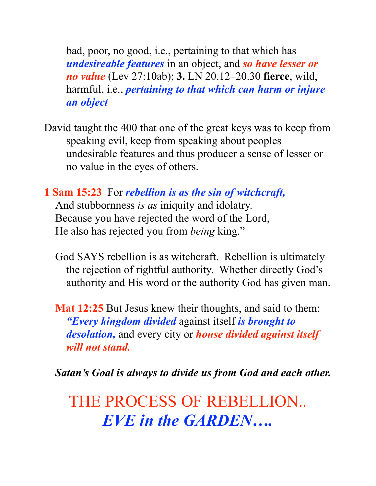bad, poor, no good, i.e., pertaining to that which has *undesireable features* in an object, and *so have lesser or no value* (Lev 27:10ab); **3.** LN 20.12–20.30 **fierce**, wild, harmful, i.e., *pertaining to that which can harm or injure an object* 

- David taught the 400 that one of the great keys was to keep from speaking evil, keep from speaking about peoples undesirable features and thus producer a sense of lesser or no value in the eyes of others.
- **1 Sam 15:23** For *rebellion is as the sin of witchcraft,*

And stubbornness *is as* iniquity and idolatry. Because you have rejected the word of the Lord, He also has rejected you from *being* king."

- God SAYS rebellion is as witchcraft. Rebellion is ultimately the rejection of rightful authority. Whether directly God's authority and His word or the authority God has given man.
- **Mat 12:25** But Jesus knew their thoughts, and said to them: *"Every kingdom divided* against itself *is brought to desolation,* and every city or *house divided against itself will not stand.*

*Satan's Goal is always to divide us from God and each other.*

THE PROCESS OF REBELLION.. *EVE in the GARDEN….*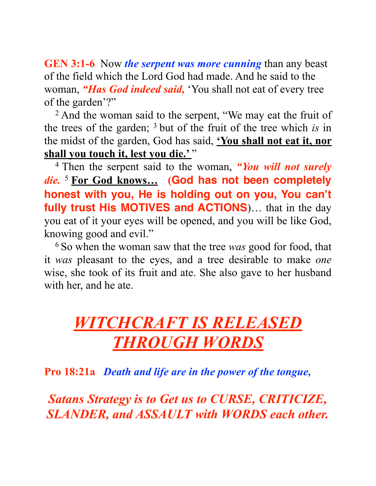**GEN 3:1-6** Now *the serpent was more cunning* than any beast of the field which the Lord God had made. And he said to the woman, *"Has God indeed said,* 'You shall not eat of every tree of the garden'?"

<sup>2</sup> And the woman said to the serpent, "We may eat the fruit of the trees of the garden; 3 but of the fruit of the tree which *is* in the midst of the garden, God has said, **'You shall not eat it, nor**  shall you touch it, lest you die.'"

4 Then the serpent said to the woman, *"You will not surely die.* <sup>5</sup>**For God knows… (God has not been completely honest with you, He is holding out on you, You can't fully trust His MOTIVES and ACTIONS**)… that in the day you eat of it your eyes will be opened, and you will be like God, knowing good and evil."

6 So when the woman saw that the tree *was* good for food, that it *was* pleasant to the eyes, and a tree desirable to make *one* wise, she took of its fruit and ate. She also gave to her husband with her, and he ate.

# *WITCHCRAFT IS RELEASED THROUGH WORDS*

**Pro 18:21a** *Death and life are in the power of the tongue,*

*Satans Strategy is to Get us to CURSE, CRITICIZE, SLANDER, and ASSAULT with WORDS each other.*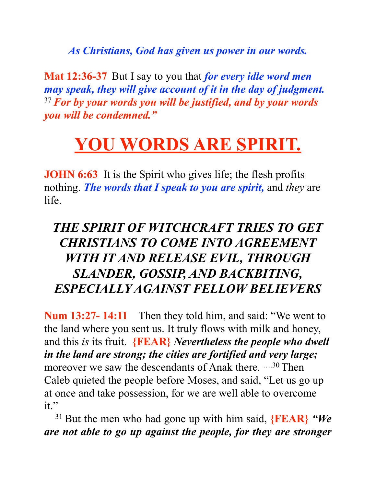*As Christians, God has given us power in our words.* 

**Mat 12:36-37** But I say to you that *for every idle word men may speak, they will give account of it in the day of judgment.* <sup>37</sup>*For by your words you will be justified, and by your words you will be condemned."*

# **YOU WORDS ARE SPIRIT.**

**JOHN 6:63** It is the Spirit who gives life; the flesh profits nothing. *The words that I speak to you are spirit,* and *they* are life.

#### *THE SPIRIT OF WITCHCRAFT TRIES TO GET CHRISTIANS TO COME INTO AGREEMENT WITH IT AND RELEASE EVIL, THROUGH SLANDER, GOSSIP, AND BACKBITING, ESPECIALLY AGAINST FELLOW BELIEVERS*

**Num 13:27- 14:11** Then they told him, and said: "We went to the land where you sent us. It truly flows with milk and honey, and this *is* its fruit. **{FEAR}** *Nevertheless the people who dwell in the land are strong; the cities are fortified and very large;* moreover we saw the descendants of Anak there.  $\cdots^{30}$  Then Caleb quieted the people before Moses, and said, "Let us go up at once and take possession, for we are well able to overcome  $it$ "

31 But the men who had gone up with him said, **{FEAR}** *"We are not able to go up against the people, for they are stronger*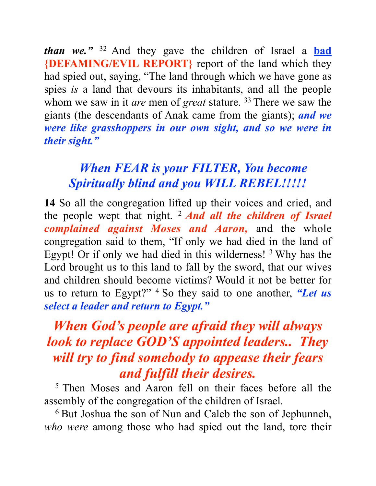*than we."* 32 And they gave the children of Israel a **bad {DEFAMING/EVIL REPORT}** report of the land which they had spied out, saying, "The land through which we have gone as spies *is* a land that devours its inhabitants, and all the people whom we saw in it *are* men of *great* stature. <sup>33</sup> There we saw the giants (the descendants of Anak came from the giants); *and we were like grasshoppers in our own sight, and so we were in their sight."*

#### *When FEAR is your FILTER, You become Spiritually blind and you WILL REBEL!!!!!*

**14** So all the congregation lifted up their voices and cried, and the people wept that night. 2 *And all the children of Israel complained against Moses and Aaron,* and the whole congregation said to them, "If only we had died in the land of Egypt! Or if only we had died in this wilderness! 3 Why has the Lord brought us to this land to fall by the sword, that our wives and children should become victims? Would it not be better for us to return to Egypt?" 4 So they said to one another, *"Let us select a leader and return to Egypt."* 

### *When God's people are afraid they will always look to replace GOD'S appointed leaders.. They will try to find somebody to appease their fears and fulfill their desires.*

5 Then Moses and Aaron fell on their faces before all the assembly of the congregation of the children of Israel.

6 But Joshua the son of Nun and Caleb the son of Jephunneh, *who were* among those who had spied out the land, tore their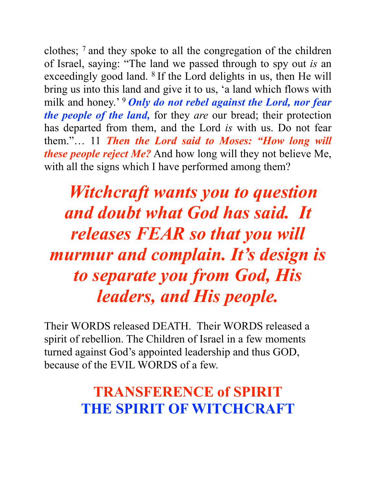clothes; 7 and they spoke to all the congregation of the children of Israel, saying: "The land we passed through to spy out *is* an exceedingly good land. 8 If the Lord delights in us, then He will bring us into this land and give it to us, 'a land which flows with milk and honey.<sup>'</sup> **Only do not rebel against the Lord, nor fear** *the people of the land,* for they *are* our bread; their protection has departed from them, and the Lord *is* with us. Do not fear them."… 11 *Then the Lord said to Moses: "How long will these people reject Me?* And how long will they not believe Me, with all the signs which I have performed among them?

*Witchcraft wants you to question and doubt what God has said. It releases FEAR so that you will murmur and complain. It's design is to separate you from God, His leaders, and His people.* 

Their WORDS released DEATH. Their WORDS released a spirit of rebellion. The Children of Israel in a few moments turned against God's appointed leadership and thus GOD, because of the EVIL WORDS of a few.

# **TRANSFERENCE of SPIRIT THE SPIRIT OF WITCHCRAFT**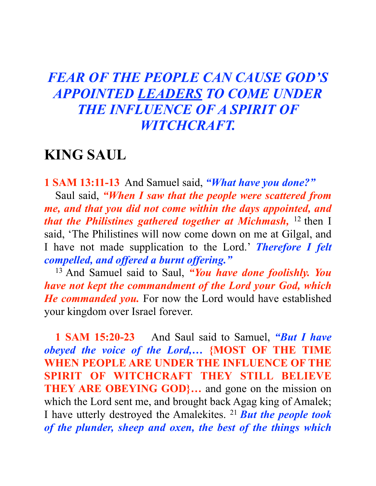#### *FEAR OF THE PEOPLE CAN CAUSE GOD'S APPOINTED LEADERS TO COME UNDER THE INFLUENCE OF A SPIRIT OF WITCHCRAFT.*

#### **KING SAUL**

**1 SAM 13:11-13** And Samuel said, *"What have you done?"* Saul said, *"When I saw that the people were scattered from me, and that you did not come within the days appointed, and that the Philistines gathered together at Michmash*, <sup>12</sup> then I said, 'The Philistines will now come down on me at Gilgal, and I have not made supplication to the Lord.' *Therefore I felt compelled, and offered a burnt offering."* 

13 And Samuel said to Saul, *"You have done foolishly. You have not kept the commandment of the Lord your God, which He commanded you.* For now the Lord would have established your kingdom over Israel forever.

**1 SAM 15:20-23** And Saul said to Samuel, *"But I have obeyed the voice of the Lord,…* **{MOST OF THE TIME WHEN PEOPLE ARE UNDER THE INFLUENCE OF THE SPIRIT OF WITCHCRAFT THEY STILL BELIEVE THEY ARE OBEYING GOD...** and gone on the mission on which the Lord sent me, and brought back Agag king of Amalek; I have utterly destroyed the Amalekites. 21 *But the people took of the plunder, sheep and oxen, the best of the things which*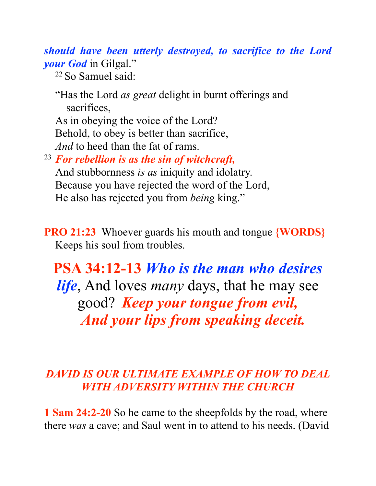*should have been utterly destroyed, to sacrifice to the Lord your God* in Gilgal."

22 So Samuel said:

"Has the Lord *as great* delight in burnt offerings and sacrifices, As in obeying the voice of the Lord?

Behold, to obey is better than sacrifice, *And* to heed than the fat of rams.

<sup>23</sup> *For rebellion is as the sin of witchcraft,* And stubbornness *is as* iniquity and idolatry. Because you have rejected the word of the Lord, He also has rejected you from *being* king."

**PRO 21:23** Whoever guards his mouth and tongue **{WORDS}** Keeps his soul from troubles.

**PSA 34:12-13** *Who is the man who desires life*, And loves *many* days, that he may see good? *Keep your tongue from evil, And your lips from speaking deceit.*

#### *DAVID IS OUR ULTIMATE EXAMPLE OF HOW TO DEAL WITH ADVERSITY WITHIN THE CHURCH*

**1 Sam 24:2-20** So he came to the sheepfolds by the road, where there *was* a cave; and Saul went in to attend to his needs. (David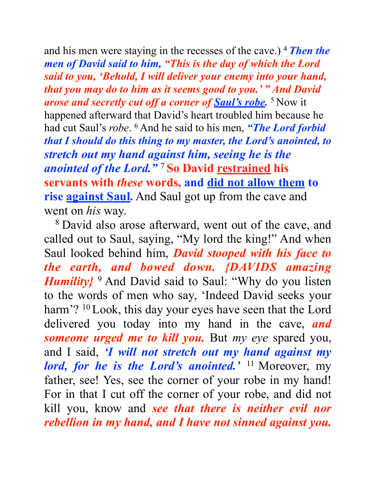and his men were staying in the recesses of the cave.) 4 *Then the men of David said to him, "This is the day of which the Lord said to you, 'Behold, I will deliver your enemy into your hand, that you may do to him as it seems good to you.' " And David arose and secretly cut off a corner of Saul's robe.*<sup>5</sup> Now it happened afterward that David's heart troubled him because he had cut Saul's *robe*. 6 And he said to his men, *"The Lord forbid that I should do this thing to my master, the Lord's anointed, to stretch out my hand against him, seeing he is the anointed of the Lord."* <sup>7</sup>**So David restrained his servants with** *these* **words, and did not allow them to rise against Saul.** And Saul got up from the cave and went on *his* way.

8 David also arose afterward, went out of the cave, and called out to Saul, saying, "My lord the king!" And when Saul looked behind him, *David stooped with his face to the earth, and bowed down. {DAVIDS amazing Humility*<sup>9</sup> And David said to Saul: "Why do you listen to the words of men who say, 'Indeed David seeks your harm'? <sup>10</sup> Look, this day your eyes have seen that the Lord delivered you today into my hand in the cave, *and someone urged me to kill you.* But *my eye* spared you, and I said, *'I will not stretch out my hand against my lord, for he is the Lord's anointed.'* 11 Moreover, my father, see! Yes, see the corner of your robe in my hand! For in that I cut off the corner of your robe, and did not kill you, know and *see that there is neither evil nor rebellion in my hand, and I have not sinned against you.*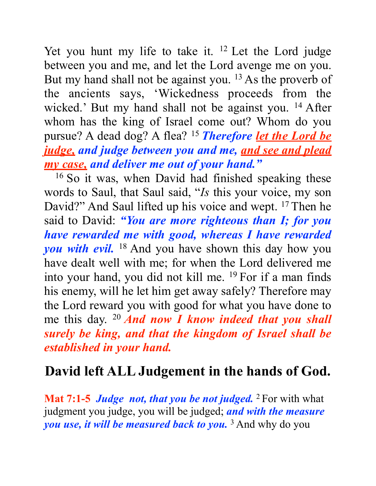Yet you hunt my life to take it. <sup>12</sup> Let the Lord judge between you and me, and let the Lord avenge me on you. But my hand shall not be against you. <sup>13</sup> As the proverb of the ancients says, 'Wickedness proceeds from the wicked.' But my hand shall not be against you. <sup>14</sup> After whom has the king of Israel come out? Whom do you pursue? A dead dog? A flea? 15 *Therefore let the Lord be judge, and judge between you and me, and see and plead my case, and deliver me out of your hand."*

16 So it was, when David had finished speaking these words to Saul, that Saul said, "*Is* this your voice, my son David?" And Saul lifted up his voice and wept. <sup>17</sup> Then he said to David: *"You are more righteous than I; for you have rewarded me with good, whereas I have rewarded you with evil.* 18 And you have shown this day how you have dealt well with me; for when the Lord delivered me into your hand, you did not kill me. 19 For if a man finds his enemy, will he let him get away safely? Therefore may the Lord reward you with good for what you have done to me this day. 20 *And now I know indeed that you shall surely be king, and that the kingdom of Israel shall be established in your hand.*

### **David left ALL Judgement in the hands of God.**

**Mat 7:1-5** *Judge not, that you be not judged.* <sup>2</sup> For with what judgment you judge, you will be judged; *and with the measure you use, it will be measured back to you.* 3 And why do you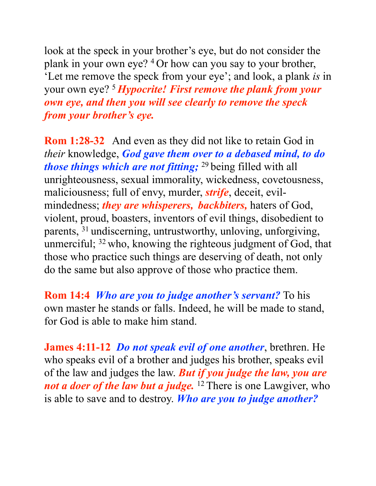look at the speck in your brother's eye, but do not consider the plank in your own eye? 4 Or how can you say to your brother, 'Let me remove the speck from your eye'; and look, a plank *is* in your own eye? 5 *Hypocrite! First remove the plank from your own eye, and then you will see clearly to remove the speck from your brother's eye.*

**Rom 1:28-32** And even as they did not like to retain God in *their* knowledge, *God gave them over to a debased mind, to do those things which are not fitting;* <sup>29</sup> being filled with all unrighteousness, sexual immorality, wickedness, covetousness, maliciousness; full of envy, murder, *strife*, deceit, evilmindedness; *they are whisperers, backbiters,* haters of God, violent, proud, boasters, inventors of evil things, disobedient to parents, 31 undiscerning, untrustworthy, unloving, unforgiving, unmerciful; 32 who, knowing the righteous judgment of God, that those who practice such things are deserving of death, not only do the same but also approve of those who practice them.

**Rom 14:4** *Who are you to judge another's servant?* To his own master he stands or falls. Indeed, he will be made to stand, for God is able to make him stand.

**James 4:11-12** *Do not speak evil of one another*, brethren. He who speaks evil of a brother and judges his brother, speaks evil of the law and judges the law. *But if you judge the law, you are not a doer of the law but a judge*. <sup>12</sup> There is one Lawgiver, who is able to save and to destroy. *Who are you to judge another?*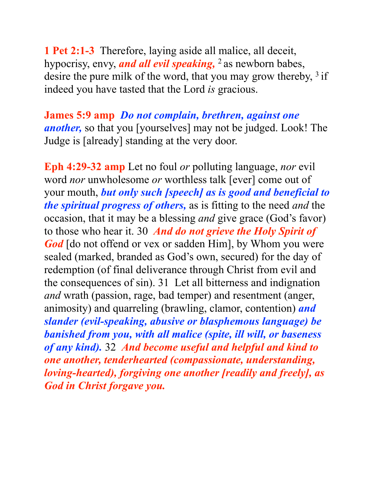**1 Pet 2:1-3** Therefore, laying aside all malice, all deceit, hypocrisy, envy, *and all evil speaking*, <sup>2</sup> as newborn babes, desire the pure milk of the word, that you may grow thereby, <sup>3</sup> if indeed you have tasted that the Lord *is* gracious.

**James 5:9 amp** *Do not complain, brethren, against one another,* so that you [yourselves] may not be judged. Look! The Judge is [already] standing at the very door.

**Eph 4:29-32 amp** Let no foul *or* polluting language, *nor* evil word *nor* unwholesome *or* worthless talk [ever] come out of your mouth, *but only such [speech] as is good and beneficial to the spiritual progress of others,* as is fitting to the need *and* the occasion, that it may be a blessing *and* give grace (God's favor) to those who hear it. 30 *And do not grieve the Holy Spirit of God* [do not offend or vex or sadden Him], by Whom you were sealed (marked, branded as God's own, secured) for the day of redemption (of final deliverance through Christ from evil and the consequences of sin). 31 Let all bitterness and indignation *and* wrath (passion, rage, bad temper) and resentment (anger, animosity) and quarreling (brawling, clamor, contention) *and slander (evil-speaking, abusive or blasphemous language) be banished from you, with all malice (spite, ill will, or baseness of any kind).* 32 *And become useful and helpful and kind to one another, tenderhearted (compassionate, understanding, loving-hearted), forgiving one another [readily and freely], as God in Christ forgave you.*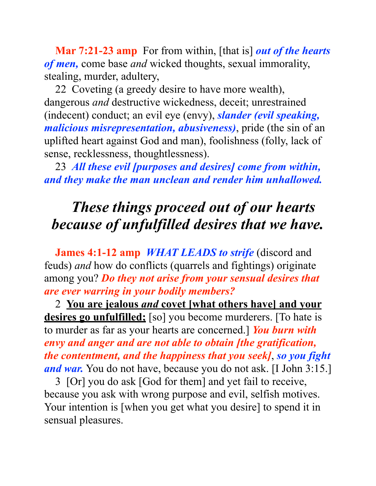**Mar 7:21-23 amp** For from within, [that is] *out of the hearts of men,* come base *and* wicked thoughts, sexual immorality, stealing, murder, adultery,

22 Coveting (a greedy desire to have more wealth), dangerous *and* destructive wickedness, deceit; unrestrained (indecent) conduct; an evil eye (envy), *slander (evil speaking, malicious misrepresentation, abusiveness)*, pride (the sin of an uplifted heart against God and man), foolishness (folly, lack of sense, recklessness, thoughtlessness).

23 *All these evil [purposes and desires] come from within, and they make the man unclean and render him unhallowed.*

# *These things proceed out of our hearts because of unfulfilled desires that we have.*

**James 4:1-12 amp** *WHAT LEADS to strife* (discord and feuds) *and* how do conflicts (quarrels and fightings) originate among you? *Do they not arise from your sensual desires that are ever warring in your bodily members?*

2 **You are jealous** *and* **covet [what others have] and your desires go unfulfilled;** [so] you become murderers. [To hate is to murder as far as your hearts are concerned.] *You burn with envy and anger and are not able to obtain [the gratification, the contentment, and the happiness that you seek]*, *so you fight and war.* You do not have, because you do not ask. [I John 3:15.]

3 [Or] you do ask [God for them] and yet fail to receive, because you ask with wrong purpose and evil, selfish motives. Your intention is [when you get what you desire] to spend it in sensual pleasures.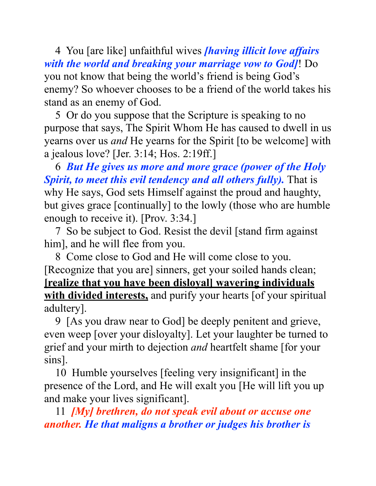4 You [are like] unfaithful wives *[having illicit love affairs with the world and breaking your marriage vow to God]*! Do you not know that being the world's friend is being God's enemy? So whoever chooses to be a friend of the world takes his stand as an enemy of God.

5 Or do you suppose that the Scripture is speaking to no purpose that says, The Spirit Whom He has caused to dwell in us yearns over us *and* He yearns for the Spirit [to be welcome] with a jealous love? [Jer. 3:14; Hos. 2:19ff.]

6 *But He gives us more and more grace (power of the Holy Spirit, to meet this evil tendency and all others fully).* That is why He says, God sets Himself against the proud and haughty, but gives grace [continually] to the lowly (those who are humble enough to receive it). [Prov. 3:34.]

7 So be subject to God. Resist the devil [stand firm against him], and he will flee from you.

8 Come close to God and He will come close to you. [Recognize that you are] sinners, get your soiled hands clean; **[realize that you have been disloyal] wavering individuals with divided interests,** and purify your hearts [of your spiritual adultery].

9 [As you draw near to God] be deeply penitent and grieve, even weep [over your disloyalty]. Let your laughter be turned to grief and your mirth to dejection *and* heartfelt shame [for your sins].

10 Humble yourselves [feeling very insignificant] in the presence of the Lord, and He will exalt you [He will lift you up and make your lives significant].

11 *[My] brethren, do not speak evil about or accuse one another. He that maligns a brother or judges his brother is*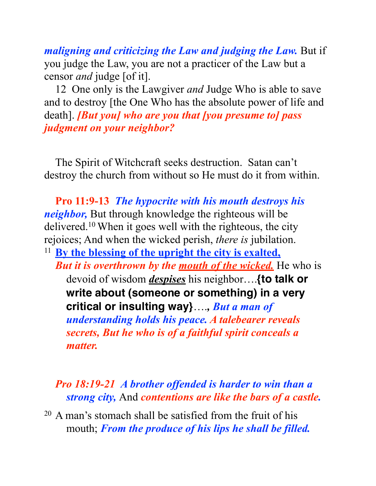*maligning and criticizing the Law and judging the Law.* But if you judge the Law, you are not a practicer of the Law but a censor *and* judge [of it].

12 One only is the Lawgiver *and* Judge Who is able to save and to destroy [the One Who has the absolute power of life and death]. *[But you] who are you that [you presume to] pass judgment on your neighbor?*

The Spirit of Witchcraft seeks destruction. Satan can't destroy the church from without so He must do it from within.

**Pro 11:9-13** *The hypocrite with his mouth destroys his neighbor,* But through knowledge the righteous will be delivered.10 When it goes well with the righteous, the city rejoices; And when the wicked perish, *there is* jubilation. <sup>11</sup> **By the blessing of the upright the city is exalted,** *But it is overthrown by the mouth of the wicked.* He who is devoid of wisdom *despises* his neighbor….**{to talk or write about (someone or something) in a very critical or insulting way}**….*, But a man of understanding holds his peace. A talebearer reveals secrets, But he who is of a faithful spirit conceals a matter.* 

*Pro 18:19-21 A brother offended is harder to win than a strong city,* And *contentions are like the bars of a castle.*

20 A man's stomach shall be satisfied from the fruit of his mouth; *From the produce of his lips he shall be filled.*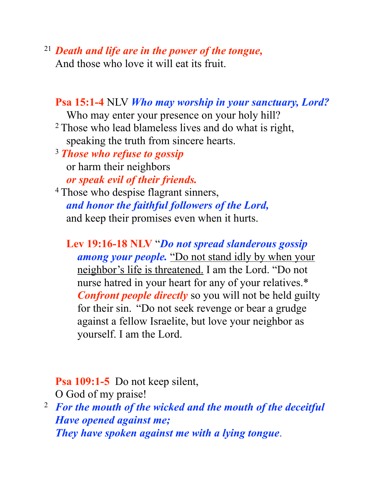#### <sup>21</sup> *Death and life are in the power of the tongue,*

And those who love it will eat its fruit.

#### **Psa 15:1-4** NLV *Who may worship in your sanctuary, Lord?*

Who may enter your presence on your holy hill?

2 Those who lead blameless lives and do what is right, speaking the truth from sincere hearts.

<sup>3</sup>*Those who refuse to gossip* or harm their neighbors

*or speak evil of their friends.* 4 Those who despise flagrant sinners, *and honor the faithful followers of the Lord,* and keep their promises even when it hurts.

**Lev 19:16-18 NLV** "*Do not spread slanderous gossip* 

*among your people.* "Do not stand idly by when your neighbor's life is threatened. I am the Lord. "Do not nurse hatred in your heart for any of your relatives.\* *Confront people directly* so you will not be held guilty for their sin. "Do not seek revenge or bear a grudge against a fellow Israelite, but love your neighbor as yourself. I am the Lord.

**Psa 109:1-5** Do not keep silent,

O God of my praise!

2 *For the mouth of the wicked and the mouth of the deceitful Have opened against me; They have spoken against me with a lying tongue*.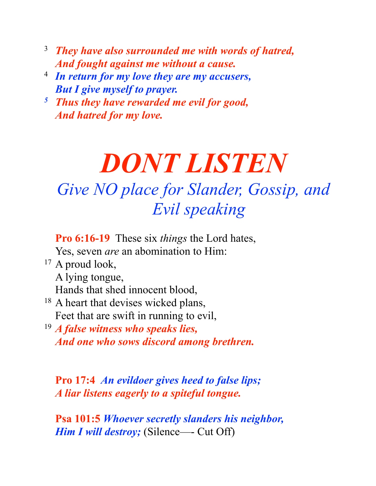- 3 *They have also surrounded me with words of hatred, And fought against me without a cause.*
- 4 *In return for my love they are my accusers, But I give myself to prayer.*
- *5 Thus they have rewarded me evil for good, And hatred for my love.*

# *DONT LISTEN Give NO place for Slander, Gossip, and Evil speaking*

**Pro 6:16-19** These six *things* the Lord hates, Yes, seven *are* an abomination to Him:

 $17$  A proud look,

A lying tongue,

Hands that shed innocent blood,

<sup>18</sup> A heart that devises wicked plans, Feet that are swift in running to evil,

<sup>19</sup> *A false witness who speaks lies, And one who sows discord among brethren.*

**Pro 17:4** *An evildoer gives heed to false lips; A liar listens eagerly to a spiteful tongue.* 

**Psa 101:5** *Whoever secretly slanders his neighbor, Him I will destroy;* (Silence—- Cut Off)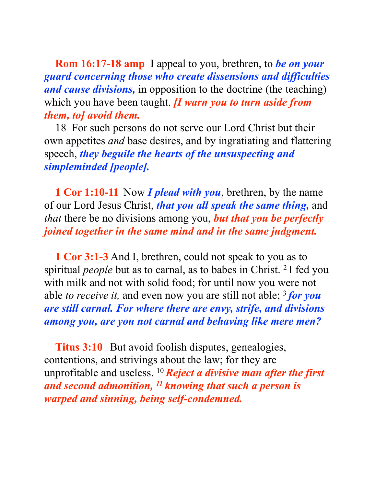**Rom 16:17-18 amp** I appeal to you, brethren, to *be on your guard concerning those who create dissensions and difficulties and cause divisions,* in opposition to the doctrine (the teaching) which you have been taught. *[I warn you to turn aside from them, to] avoid them.* 

18 For such persons do not serve our Lord Christ but their own appetites *and* base desires, and by ingratiating and flattering speech, *they beguile the hearts of the unsuspecting and simpleminded [people].*

**1 Cor 1:10-11** Now *I plead with you*, brethren, by the name of our Lord Jesus Christ, *that you all speak the same thing,* and *that* there be no divisions among you, *but that you be perfectly joined together in the same mind and in the same judgment.*

**1 Cor 3:1-3** And I, brethren, could not speak to you as to spiritual *people* but as to carnal, as to babes in Christ. 2 I fed you with milk and not with solid food; for until now you were not able *to receive it,* and even now you are still not able; 3 *for you are still carnal. For where there are envy, strife, and divisions among you, are you not carnal and behaving like mere men?*

**Titus 3:10** But avoid foolish disputes, genealogies, contentions, and strivings about the law; for they are unprofitable and useless. 10 *Reject a divisive man after the first and second admonition, 11 knowing that such a person is warped and sinning, being self-condemned.*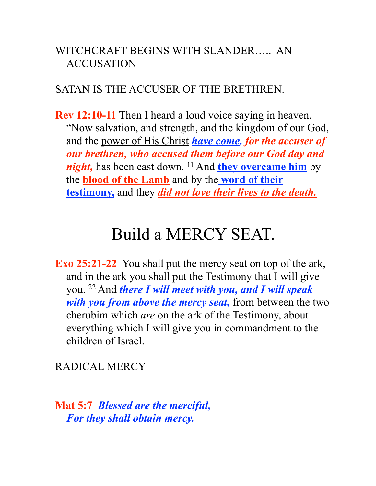#### WITCHCRAFT BEGINS WITH SLANDER….. AN ACCUSATION

#### SATAN IS THE ACCUSER OF THE BRETHREN.

**Rev 12:10-11** Then I heard a loud voice saying in heaven, "Now <u>salvation</u>, and strength, and the kingdom of our God, and the power of His Christ *have come, for the accuser of our brethren, who accused them before our God day and night*, has been cast down. <sup>11</sup> And **they overcame him** by the **blood of the Lamb** and by the **word of their testimony,** and they *did not love their lives to the death.*

# Build a MERCY SEAT.

**Exo 25:21-22** You shall put the mercy seat on top of the ark, and in the ark you shall put the Testimony that I will give you. 22 And *there I will meet with you, and I will speak with you from above the mercy seat,* from between the two cherubim which *are* on the ark of the Testimony, about everything which I will give you in commandment to the children of Israel.

RADICAL MERCY

**Mat 5:7** *Blessed are the merciful, For they shall obtain mercy.*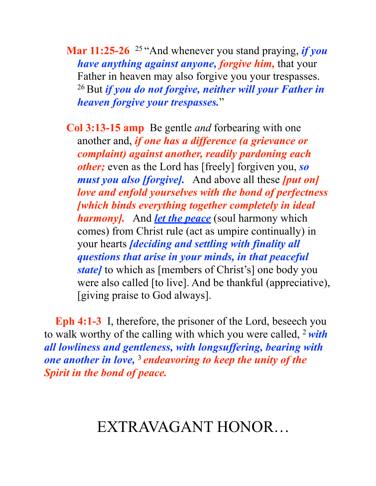**Mar 11:25-26** 25 "And whenever you stand praying, *if you have anything against anyone, forgive him,* that your Father in heaven may also forgive you your trespasses. 26 But *if you do not forgive, neither will your Father in heaven forgive your trespasses.*"

**Col 3:13-15 amp** Be gentle *and* forbearing with one another and, *if one has a difference (a grievance or complaint) against another, readily pardoning each other;* even as the Lord has [freely] forgiven you, *so must you also [forgive].* And above all these *[put on] love and enfold yourselves with the bond of perfectness [which binds everything together completely in ideal harmony].* And *let the peace* (soul harmony which comes) from Christ rule (act as umpire continually) in your hearts *[deciding and settling with finality all questions that arise in your minds, in that peaceful state]* to which as [members of Christ's] one body you were also called [to live]. And be thankful (appreciative), [giving praise to God always].

**Eph 4:1-3** I, therefore, the prisoner of the Lord, beseech you to walk worthy of the calling with which you were called, 2 *with all lowliness and gentleness, with longsuffering, bearing with one another in love,* <sup>3</sup>*endeavoring to keep the unity of the Spirit in the bond of peace.*

## EXTRAVAGANT HONOR…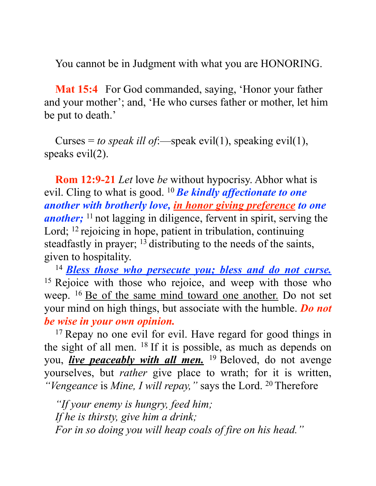You cannot be in Judgment with what you are HONORING.

**Mat 15:4** For God commanded, saying, 'Honor your father and your mother'; and, 'He who curses father or mother, let him be put to death.'

Curses = *to speak ill of*:—speak evil(1), speaking evil(1), speaks evil(2).

**Rom 12:9-21** *Let* love *be* without hypocrisy. Abhor what is evil. Cling to what is good. 10 *Be kindly affectionate to one another with brotherly love, in honor giving preference to one another*; <sup>11</sup> not lagging in diligence, fervent in spirit, serving the Lord; <sup>12</sup> rejoicing in hope, patient in tribulation, continuing steadfastly in prayer; 13 distributing to the needs of the saints, given to hospitality.

<sup>14</sup>*Bless those who persecute you; bless and do not curse.* <sup>15</sup> Rejoice with those who rejoice, and weep with those who weep. <sup>16</sup> <u>Be of the same mind toward one another.</u> Do not set your mind on high things, but associate with the humble. *Do not be wise in your own opinion.*

<sup>17</sup> Repay no one evil for evil. Have regard for good things in the sight of all men. 18 If it is possible, as much as depends on you, *live peaceably with all men.* 19 Beloved, do not avenge yourselves, but *rather* give place to wrath; for it is written, *"Vengeance* is *Mine, I will repay,"* says the Lord. 20 Therefore

*"If your enemy is hungry, feed him; If he is thirsty, give him a drink; For in so doing you will heap coals of fire on his head."*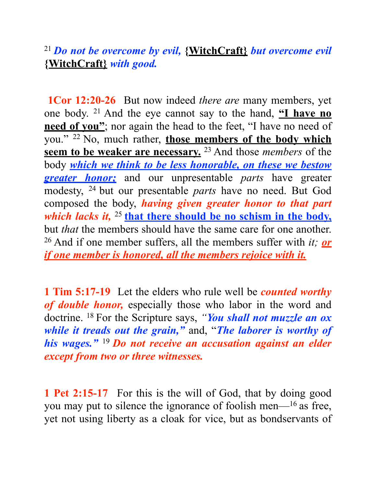#### <sup>21</sup>*Do not be overcome by evil,* **{WitchCraft}** *but overcome evil*  **{WitchCraft}** *with good.*

**1Cor 12:20-26** But now indeed *there are* many members, yet one body. 21 And the eye cannot say to the hand, **"I have no need of you"**; nor again the head to the feet, "I have no need of you." 22 No, much rather, **those members of the body which seem to be weaker are necessary.** 23 And those *members* of the body *which we think to be less honorable, on these we bestow greater honor;* and our unpresentable *parts* have greater modesty, 24 but our presentable *parts* have no need. But God composed the body, *having given greater honor to that part which lacks it,* <sup>25</sup> that there should be no schism in the body, but *that* the members should have the same care for one another. 26 And if one member suffers, all the members suffer with *it; or if one member is honored, all the members rejoice with it.*

**1 Tim 5:17-19** Let the elders who rule well be *counted worthy of double honor,* especially those who labor in the word and doctrine. 18 For the Scripture says, *"You shall not muzzle an ox while it treads out the grain,"* and, "*The laborer is worthy of his wages."* <sup>19</sup>*Do not receive an accusation against an elder except from two or three witnesses.*

**1 Pet 2:15-17** For this is the will of God, that by doing good you may put to silence the ignorance of foolish men—16 as free, yet not using liberty as a cloak for vice, but as bondservants of